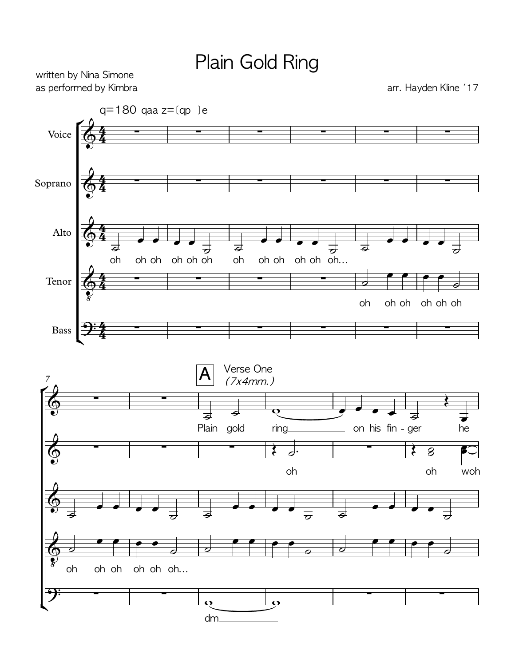## Plain Gold Ring

as performed by Kimbra and arr. Hayden Kline '17 written by Nina Simone

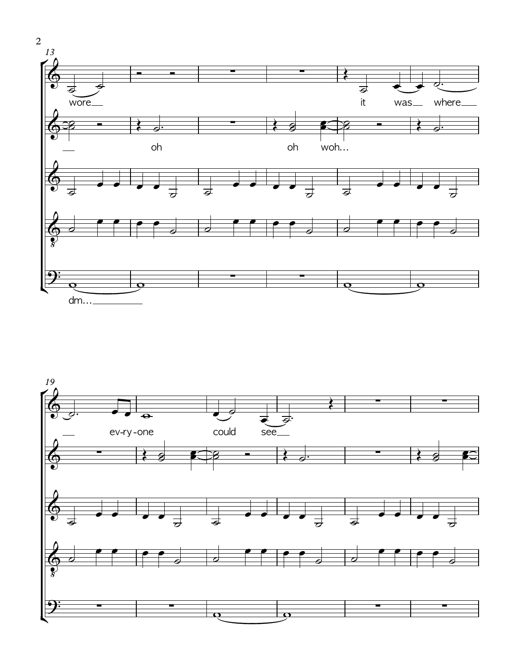

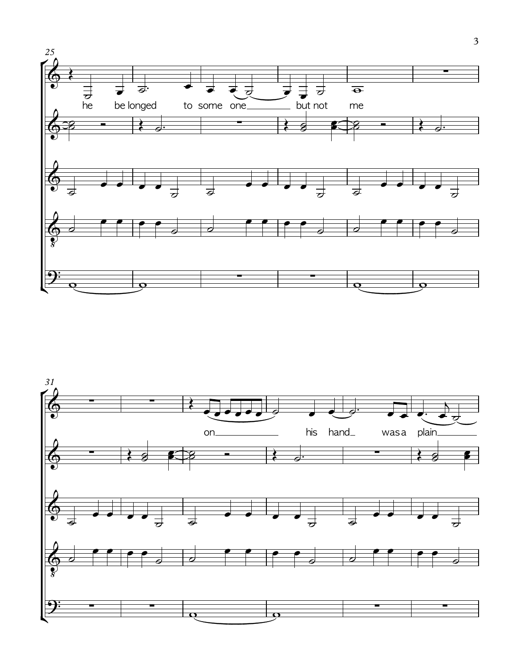

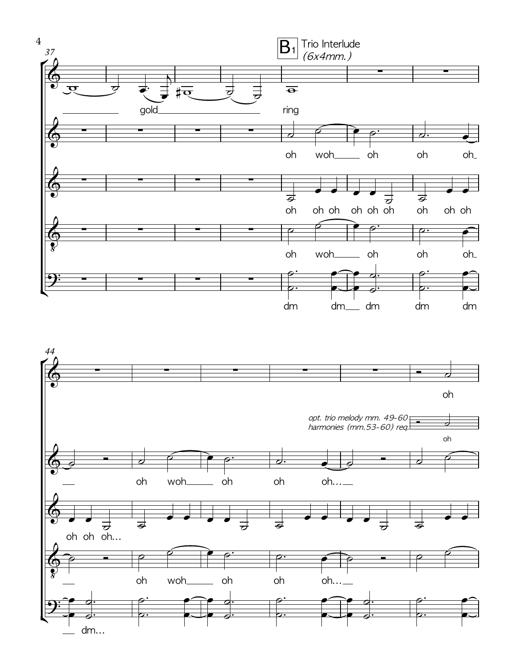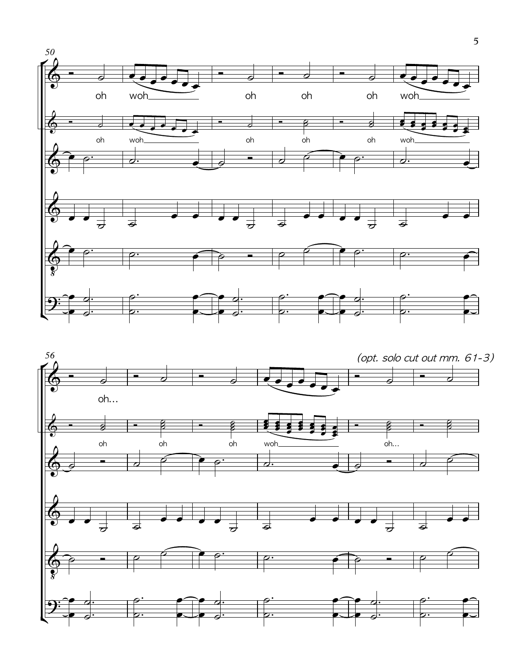

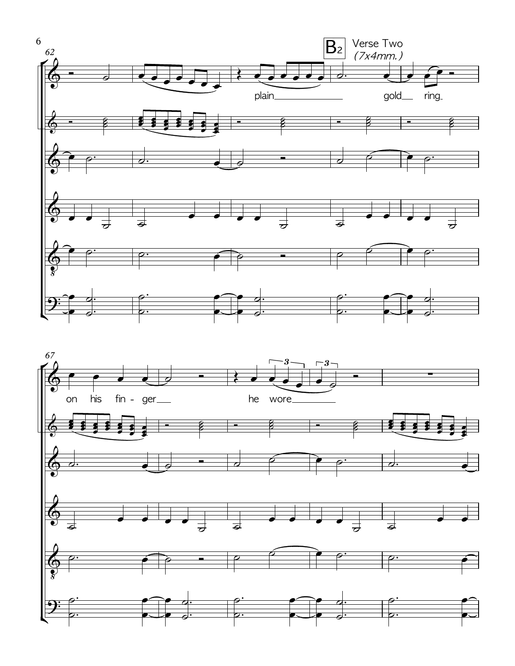

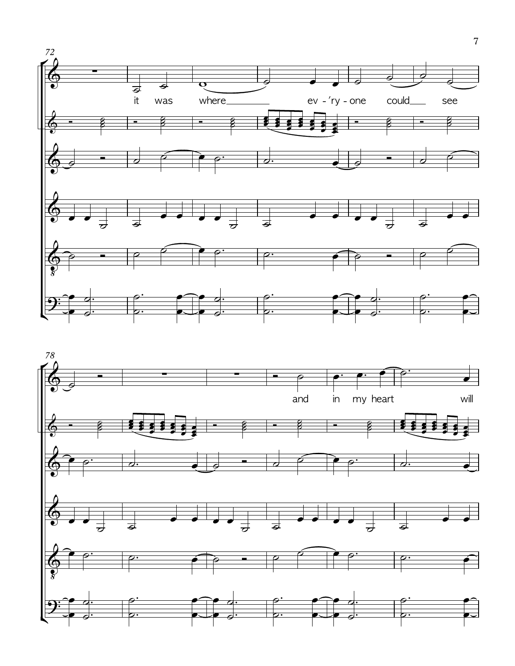

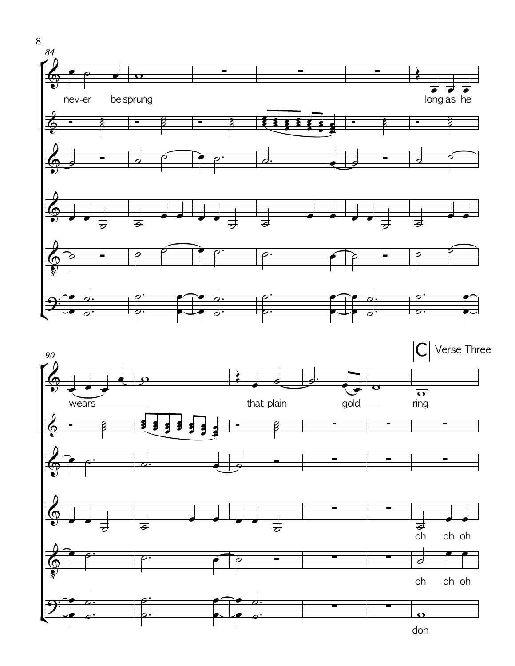

doh

 $\, 8$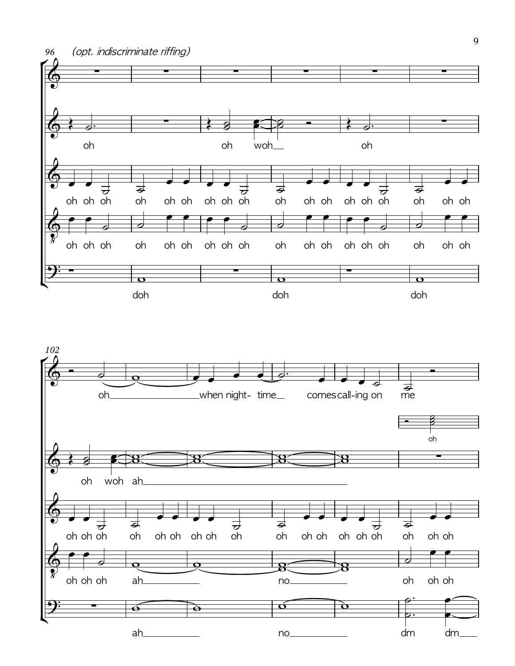

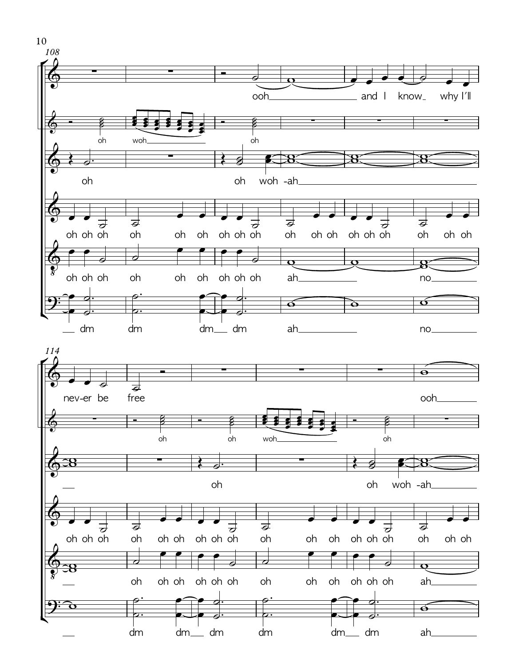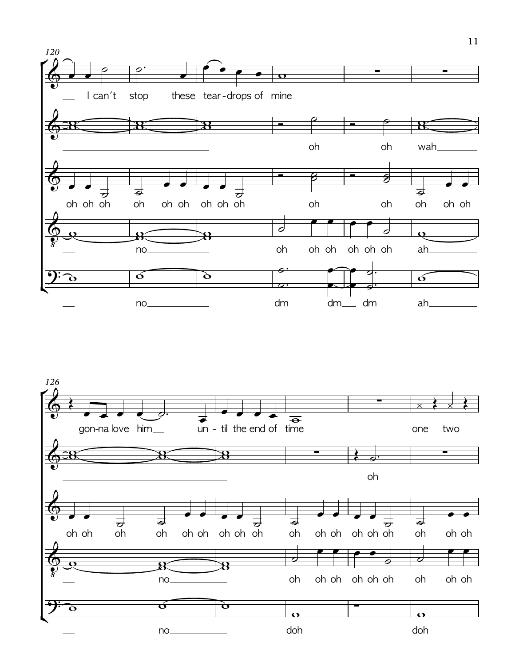

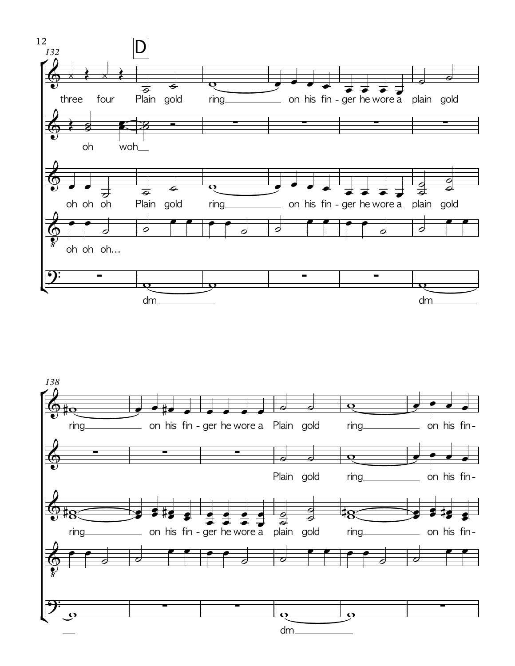

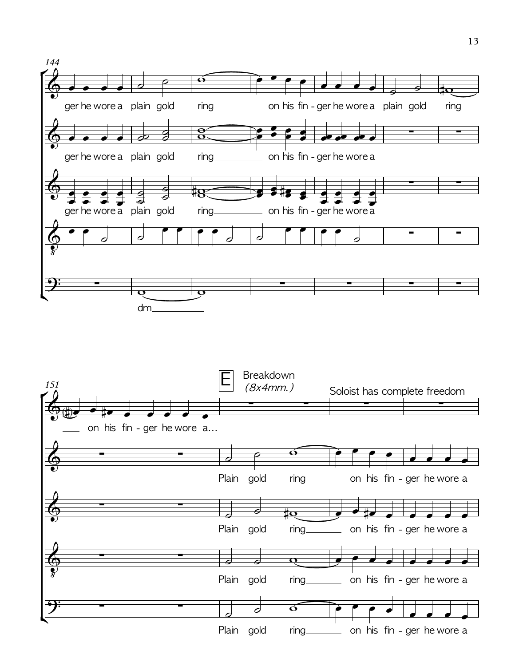

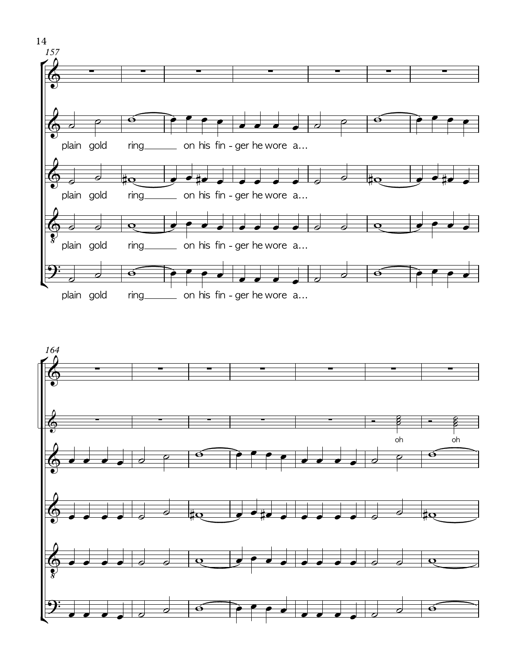

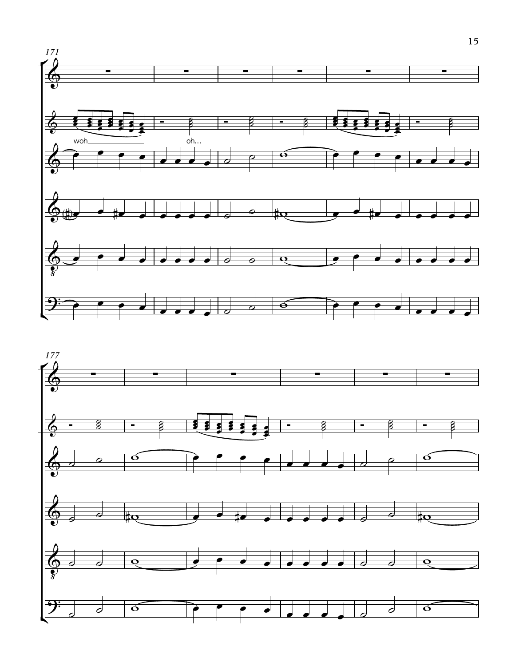

![](_page_14_Figure_1.jpeg)